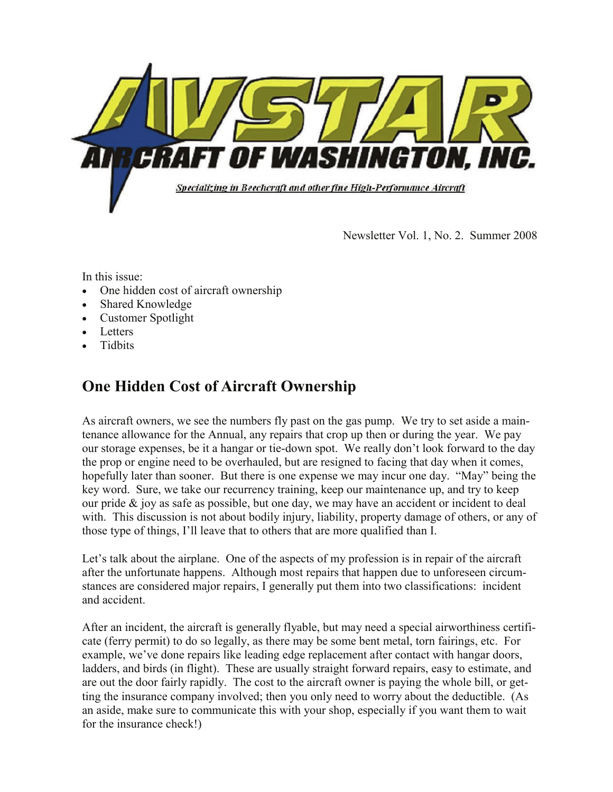

Newsletter Vol. 1, No. 2. Summer 2008

In this issue:

- One hidden cost of aircraft ownership
- Shared Knowledge
- Customer Spotlight
- **Letters**
- Tidbits

## **One Hidden Cost of Aircraft Ownership**

As aircraft owners, we see the numbers fly past on the gas pump. We try to set aside a maintenance allowance for the Annual, any repairs that crop up then or during the year. We pay our storage expenses, be it a hangar or tie-down spot. We really don't look forward to the day the prop or engine need to be overhauled, but are resigned to facing that day when it comes, hopefully later than sooner. But there is one expense we may incur one day. "May" being the key word. Sure, we take our recurrency training, keep our maintenance up, and try to keep our pride  $\&$  joy as safe as possible, but one day, we may have an accident or incident to deal with. This discussion is not about bodily injury, liability, property damage of others, or any of those type of things, I'll leave that to others that are more qualified than I.

Let's talk about the airplane. One of the aspects of my profession is in repair of the aircraft after the unfortunate happens. Although most repairs that happen due to unforeseen circumstances are considered major repairs, I generally put them into two classifications: incident and accident.

After an incident, the aircraft is generally flyable, but may need a special airworthiness certificate (ferry permit) to do so legally, as there may be some bent metal, torn fairings, etc. For example, we've done repairs like leading edge replacement after contact with hangar doors, ladders, and birds (in flight). These are usually straight forward repairs, easy to estimate, and are out the door fairly rapidly. The cost to the aircraft owner is paying the whole bill, or getting the insurance company involved; then you only need to worry about the deductible. (As an aside, make sure to communicate this with your shop, especially if you want them to wait for the insurance check!)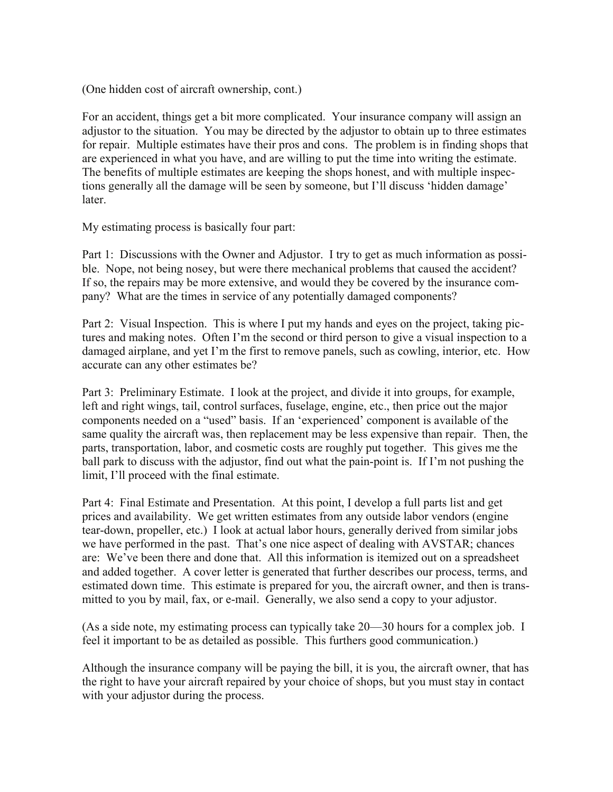(One hidden cost of aircraft ownership, cont.)

For an accident, things get a bit more complicated. Your insurance company will assign an adjustor to the situation. You may be directed by the adjustor to obtain up to three estimates for repair. Multiple estimates have their pros and cons. The problem is in finding shops that are experienced in what you have, and are willing to put the time into writing the estimate. The benefits of multiple estimates are keeping the shops honest, and with multiple inspections generally all the damage will be seen by someone, but I'll discuss 'hidden damage' later.

My estimating process is basically four part:

Part 1: Discussions with the Owner and Adjustor. I try to get as much information as possible. Nope, not being nosey, but were there mechanical problems that caused the accident? If so, the repairs may be more extensive, and would they be covered by the insurance company? What are the times in service of any potentially damaged components?

Part 2: Visual Inspection. This is where I put my hands and eyes on the project, taking pictures and making notes. Often I'm the second or third person to give a visual inspection to a damaged airplane, and yet I'm the first to remove panels, such as cowling, interior, etc. How accurate can any other estimates be?

Part 3: Preliminary Estimate. I look at the project, and divide it into groups, for example, left and right wings, tail, control surfaces, fuselage, engine, etc., then price out the major components needed on a "used" basis. If an 'experienced' component is available of the same quality the aircraft was, then replacement may be less expensive than repair. Then, the parts, transportation, labor, and cosmetic costs are roughly put together. This gives me the ball park to discuss with the adjustor, find out what the pain-point is. If I'm not pushing the limit, I'll proceed with the final estimate.

Part 4: Final Estimate and Presentation. At this point, I develop a full parts list and get prices and availability. We get written estimates from any outside labor vendors (engine tear-down, propeller, etc.) I look at actual labor hours, generally derived from similar jobs we have performed in the past. That's one nice aspect of dealing with AVSTAR; chances are: We've been there and done that. All this information is itemized out on a spreadsheet and added together. A cover letter is generated that further describes our process, terms, and estimated down time. This estimate is prepared for you, the aircraft owner, and then is transmitted to you by mail, fax, or e-mail. Generally, we also send a copy to your adjustor.

(As a side note, my estimating process can typically take 20—30 hours for a complex job. I feel it important to be as detailed as possible. This furthers good communication.)

Although the insurance company will be paying the bill, it is you, the aircraft owner, that has the right to have your aircraft repaired by your choice of shops, but you must stay in contact with your adjustor during the process.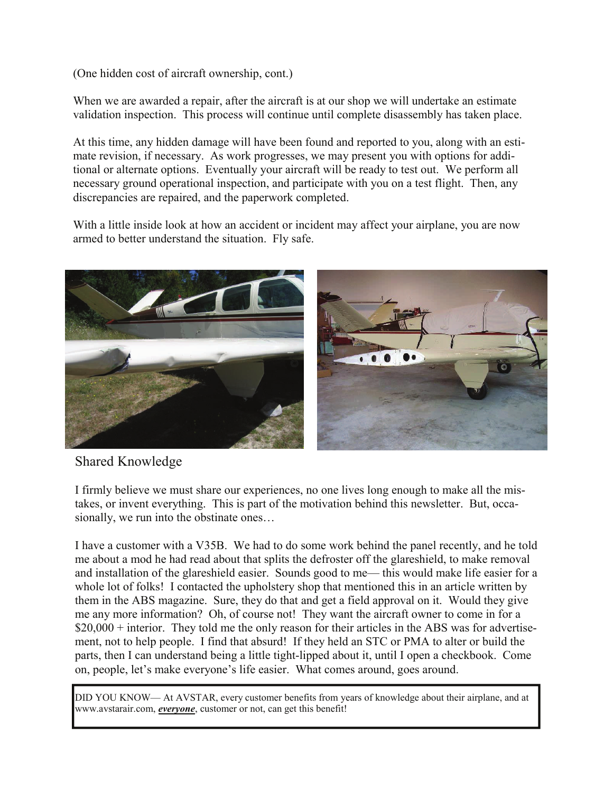(One hidden cost of aircraft ownership, cont.)

When we are awarded a repair, after the aircraft is at our shop we will undertake an estimate validation inspection. This process will continue until complete disassembly has taken place.

At this time, any hidden damage will have been found and reported to you, along with an estimate revision, if necessary. As work progresses, we may present you with options for additional or alternate options. Eventually your aircraft will be ready to test out. We perform all necessary ground operational inspection, and participate with you on a test flight. Then, any discrepancies are repaired, and the paperwork completed.

With a little inside look at how an accident or incident may affect your airplane, you are now armed to better understand the situation. Fly safe.



Shared Knowledge

I firmly believe we must share our experiences, no one lives long enough to make all the mistakes, or invent everything. This is part of the motivation behind this newsletter. But, occasionally, we run into the obstinate ones…

I have a customer with a V35B. We had to do some work behind the panel recently, and he told me about a mod he had read about that splits the defroster off the glareshield, to make removal and installation of the glareshield easier. Sounds good to me— this would make life easier for a whole lot of folks! I contacted the upholstery shop that mentioned this in an article written by them in the ABS magazine. Sure, they do that and get a field approval on it. Would they give me any more information? Oh, of course not! They want the aircraft owner to come in for a  $$20,000 +$  interior. They told me the only reason for their articles in the ABS was for advertisement, not to help people. I find that absurd! If they held an STC or PMA to alter or build the parts, then I can understand being a little tight-lipped about it, until I open a checkbook. Come on, people, let's make everyone's life easier. What comes around, goes around.

DID YOU KNOW— At AVSTAR, every customer benefits from years of knowledge about their airplane, and at www.avstarair.com, *everyone*, customer or not, can get this benefit!